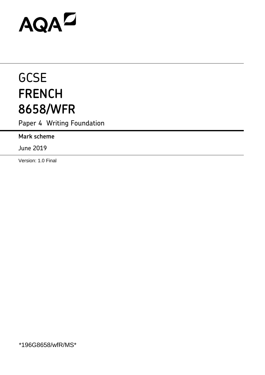# AQAD

# **GCSE FRENCH 8658/WFR**

Paper 4 Writing Foundation

**Mark scheme**

June 2019

Version: 1.0 Final

\*196G8658/wfR/MS\*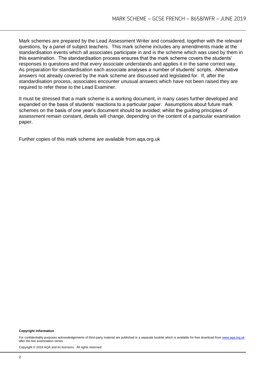Mark schemes are prepared by the Lead Assessment Writer and considered, together with the relevant questions, by a panel of subject teachers. This mark scheme includes any amendments made at the standardisation events which all associates participate in and is the scheme which was used by them in this examination. The standardisation process ensures that the mark scheme covers the students' responses to questions and that every associate understands and applies it in the same correct way. As preparation for standardisation each associate analyses a number of students' scripts. Alternative answers not already covered by the mark scheme are discussed and legislated for. If, after the standardisation process, associates encounter unusual answers which have not been raised they are required to refer these to the Lead Examiner.

It must be stressed that a mark scheme is a working document, in many cases further developed and expanded on the basis of students' reactions to a particular paper. Assumptions about future mark schemes on the basis of one year's document should be avoided; whilst the guiding principles of assessment remain constant, details will change, depending on the content of a particular examination paper.

Further copies of this mark scheme are available from aqa.org.uk

#### **Copyright information**

For confidentiality purposes acknowledgements of third-party material are published in a separate booklet which is available for free download fro[m www.aqa.org.uk](http://www.aqa.org.uk/) after the live examination series.

Copyright © 2019 AQA and its licensors. All rights reserved.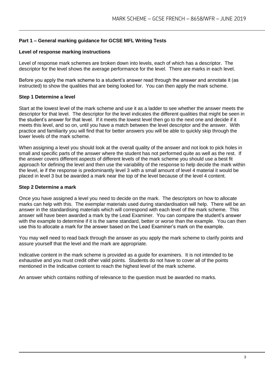# **Part 1 – General marking guidance for GCSE MFL Writing Tests**

#### **Level of response marking instructions**

Level of response mark schemes are broken down into levels, each of which has a descriptor. The descriptor for the level shows the average performance for the level. There are marks in each level.

Before you apply the mark scheme to a student's answer read through the answer and annotate it (as instructed) to show the qualities that are being looked for. You can then apply the mark scheme.

#### **Step 1 Determine a level**

Start at the lowest level of the mark scheme and use it as a ladder to see whether the answer meets the descriptor for that level. The descriptor for the level indicates the different qualities that might be seen in the student's answer for that level. If it meets the lowest level then go to the next one and decide if it meets this level, and so on, until you have a match between the level descriptor and the answer. With practice and familiarity you will find that for better answers you will be able to quickly skip through the lower levels of the mark scheme.

When assigning a level you should look at the overall quality of the answer and not look to pick holes in small and specific parts of the answer where the student has not performed quite as well as the rest. If the answer covers different aspects of different levels of the mark scheme you should use a best fit approach for defining the level and then use the variability of the response to help decide the mark within the level, ie if the response is predominantly level 3 with a small amount of level 4 material it would be placed in level 3 but be awarded a mark near the top of the level because of the level 4 content.

#### **Step 2 Determine a mark**

Once you have assigned a level you need to decide on the mark. The descriptors on how to allocate marks can help with this. The exemplar materials used during standardisation will help. There will be an answer in the standardising materials which will correspond with each level of the mark scheme. This answer will have been awarded a mark by the Lead Examiner. You can compare the student's answer with the example to determine if it is the same standard, better or worse than the example. You can then use this to allocate a mark for the answer based on the Lead Examiner's mark on the example.

You may well need to read back through the answer as you apply the mark scheme to clarify points and assure yourself that the level and the mark are appropriate.

Indicative content in the mark scheme is provided as a guide for examiners. It is not intended to be exhaustive and you must credit other valid points. Students do not have to cover all of the points mentioned in the Indicative content to reach the highest level of the mark scheme.

An answer which contains nothing of relevance to the question must be awarded no marks.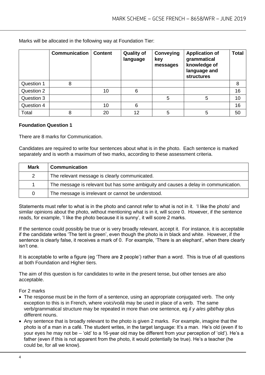**Communication Content Quality of language Conveying key messages Application of grammatical knowledge of language and structures Total** Question 1 8 8 Question 2 10 6 16 Question 3 5 10 Question 4 10 6 16 Total | 8 | 20 | 12 | 5 | 5 | 50

Marks will be allocated in the following way at Foundation Tier:

#### **Foundation Question 1**

There are 8 marks for Communication.

Candidates are required to write four sentences about what is in the photo. Each sentence is marked separately and is worth a maximum of two marks, according to these assessment criteria.

| <b>Mark</b> | <b>Communication</b>                                                                |
|-------------|-------------------------------------------------------------------------------------|
| 2           | The relevant message is clearly communicated.                                       |
|             | The message is relevant but has some ambiguity and causes a delay in communication. |
| 0           | The message is irrelevant or cannot be understood.                                  |

Statements must refer to what is in the photo and cannot refer to what is not in it. 'I like the photo' and similar opinions about the photo, without mentioning what is in it, will score 0. However, if the sentence reads, for example, 'I like the photo because it is sunny', it will score 2 marks.

If the sentence could possibly be true or is very broadly relevant, accept it. For instance, it is acceptable if the candidate writes 'The tent is green', even though the photo is in black and white. However, if the sentence is clearly false, it receives a mark of 0. For example, 'There is an elephant', when there clearly isn't one.

It is acceptable to write a figure (eg 'There are **2** people') rather than a word. This is true of all questions at both Foundation and Higher tiers.

The aim of this question is for candidates to write in the present tense, but other tenses are also acceptable.

For 2 marks

- The response must be in the form of a sentence, using an appropriate conjugated verb. The only exception to this is in French, where *voici/voilà* may be used in place of a verb. The same verb/grammatical structure may be repeated in more than one sentence, eg *il y a/es gibt/hay* plus different nouns.
- Any sentence that is broadly relevant to the photo is given 2 marks. For example, imagine that the photo is of a man in a café. The student writes, in the target language: It's a man. He's old (even if to your eyes he may not be – 'old' to a 16-year old may be different from your perception of 'old'). He's a father (even if this is not apparent from the photo, it would potentially be true). He's a teacher (he could be, for all we know).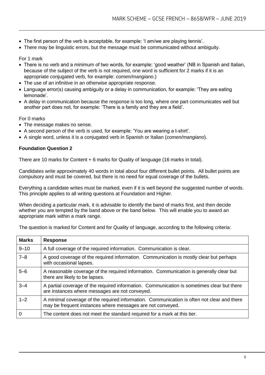- The first person of the verb is acceptable, for example: 'I am/we are playing tennis'.
- There may be linguistic errors, but the message must be communicated without ambiguity.

#### For 1 mark

- There is no verb and a minimum of two words, for example: 'good weather' (NB in Spanish and Italian, because of the subject of the verb is not required, one word is sufficient for 2 marks if it is an appropriate conjugated verb, for example: *comen/mangiano*.)
- The use of an infinitive in an otherwise appropriate response.
- Language error(s) causing ambiguity or a delay in communication, for example: 'They are eating lemonade'.
- A delay in communication because the response is too long, where one part communicates well but another part does not, for example: 'There is a family and they are a field'.

#### For 0 marks

- The message makes no sense.
- A second person of the verb is used, for example: 'You are wearing a t-shirt'.
- A single word, unless it is a conjugated verb in Spanish or Italian (*comen/mangiano*).

#### **Foundation Question 2**

There are 10 marks for Content + 6 marks for Quality of language (16 marks in total).

Candidates write approximately 40 words in total about four different bullet points. All bullet points are compulsory and must be covered, but there is no need for equal coverage of the bullets.

Everything a candidate writes must be marked, even if it is well beyond the suggested number of words. This principle applies to all writing questions at Foundation and Higher.

When deciding a particular mark, it is advisable to identify the band of marks first, and then decide whether you are tempted by the band above or the band below. This will enable you to award an appropriate mark within a mark range.

The question is marked for Content and for Quality of language, according to the following criteria:

| <b>Marks</b> | <b>Response</b>                                                                                                                                          |
|--------------|----------------------------------------------------------------------------------------------------------------------------------------------------------|
| $9 - 10$     | A full coverage of the required information. Communication is clear.                                                                                     |
| $7 - 8$      | A good coverage of the required information. Communication is mostly clear but perhaps<br>with occasional lapses.                                        |
| $5 - 6$      | A reasonable coverage of the required information. Communication is generally clear but<br>there are likely to be lapses.                                |
| $3 - 4$      | A partial coverage of the required information. Communication is sometimes clear but there<br>are instances where messages are not conveyed.             |
| $1 - 2$      | A minimal coverage of the required information. Communication is often not clear and there<br>may be frequent instances where messages are not conveyed. |
| $\mathbf 0$  | The content does not meet the standard required for a mark at this tier.                                                                                 |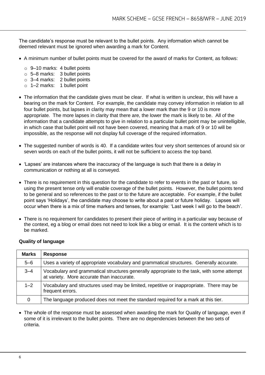The candidate's response must be relevant to the bullet points. Any information which cannot be deemed relevant must be ignored when awarding a mark for Content.

- A minimum number of bullet points must be covered for the award of marks for Content, as follows:
	- o 9–10 marks: 4 bullet points
	- o 5–8 marks: 3 bullet points
	- o 3–4 marks: 2 bullet points
	- o 1–2 marks: 1 bullet point
- The information that the candidate gives must be clear. If what is written is unclear, this will have a bearing on the mark for Content. For example, the candidate may convey information in relation to all four bullet points, but lapses in clarity may mean that a lower mark than the 9 or 10 is more appropriate. The more lapses in clarity that there are, the lower the mark is likely to be. All of the information that a candidate attempts to give in relation to a particular bullet point may be unintelligible, in which case that bullet point will not have been covered, meaning that a mark of 9 or 10 will be impossible, as the response will not display full coverage of the required information.
- The suggested number of words is 40. If a candidate writes four very short sentences of around six or seven words on each of the bullet points, it will not be sufficient to access the top band.
- 'Lapses' are instances where the inaccuracy of the language is such that there is a delay in communication or nothing at all is conveyed.
- There is no requirement in this question for the candidate to refer to events in the past or future, so using the present tense only will enable coverage of the bullet points. However, the bullet points tend to be general and so references to the past or to the future are acceptable. For example, if the bullet point says 'Holidays', the candidate may choose to write about a past or future holiday. Lapses will occur when there is a mix of time markers and tenses, for example: 'Last week I will go to the beach'.
- There is no requirement for candidates to present their piece of writing in a particular way because of the context, eg a blog or email does not need to look like a blog or email. It is the content which is to be marked.

| <b>Marks</b> | <b>Response</b>                                                                                                                          |
|--------------|------------------------------------------------------------------------------------------------------------------------------------------|
| $5 - 6$      | Uses a variety of appropriate vocabulary and grammatical structures. Generally accurate.                                                 |
| $3 - 4$      | Vocabulary and grammatical structures generally appropriate to the task, with some attempt<br>at variety. More accurate than inaccurate. |
| $1 - 2$      | Vocabulary and structures used may be limited, repetitive or inappropriate. There may be<br>frequent errors.                             |
| 0            | The language produced does not meet the standard required for a mark at this tier.                                                       |

#### **Quality of language**

• The whole of the response must be assessed when awarding the mark for Quality of language, even if some of it is irrelevant to the bullet points. There are no dependencies between the two sets of criteria.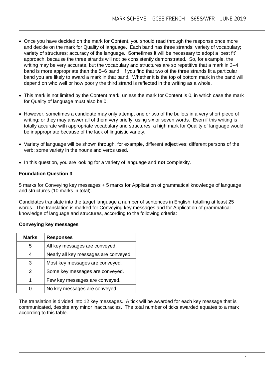- Once you have decided on the mark for Content, you should read through the response once more and decide on the mark for Quality of language. Each band has three strands: variety of vocabulary; variety of structures; accuracy of the language. Sometimes it will be necessary to adopt a 'best fit' approach, because the three strands will not be consistently demonstrated. So, for example, the writing may be very accurate, but the vocabulary and structures are so repetitive that a mark in 3–4 band is more appropriate than the 5–6 band. If you find that two of the three strands fit a particular band you are likely to award a mark in that band. Whether it is the top of bottom mark in the band will depend on who well or how poorly the third strand is reflected in the writing as a whole.
- This mark is not limited by the Content mark, unless the mark for Content is 0, in which case the mark for Quality of language must also be 0.
- However, sometimes a candidate may only attempt one or two of the bullets in a very short piece of writing; or they may answer all of them very briefly, using six or seven words. Even if this writing is totally accurate with appropriate vocabulary and structures, a high mark for Quality of language would be inappropriate because of the lack of linguistic variety.
- Variety of language will be shown through, for example, different adjectives; different persons of the verb; some variety in the nouns and verbs used.
- In this question, you are looking for a variety of language and **not** complexity.

# **Foundation Question 3**

5 marks for Conveying key messages + 5 marks for Application of grammatical knowledge of language and structures (10 marks in total).

Candidates translate into the target language a number of sentences in English, totalling at least 25 words. The translation is marked for Conveying key messages and for Application of grammatical knowledge of language and structures, according to the following criteria:

#### **Conveying key messages**

| <b>Marks</b> | <b>Responses</b>                      |
|--------------|---------------------------------------|
| 5            | All key messages are conveyed.        |
|              | Nearly all key messages are conveyed. |
| 3            | Most key messages are conveyed.       |
| 2            | Some key messages are conveyed.       |
| 1            | Few key messages are conveyed.        |
|              | No key messages are conveyed.         |

The translation is divided into 12 key messages. A tick will be awarded for each key message that is communicated, despite any minor inaccuracies. The total number of ticks awarded equates to a mark according to this table.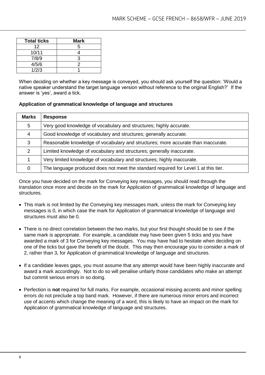| <b>Total ticks</b> | <b>Mark</b> |
|--------------------|-------------|
| 12                 | 5           |
| 10/11              |             |
| 7/8/9              | ว           |
| 4/5/6              |             |
| 1/2/3              |             |

When deciding on whether a key message is conveyed, you should ask yourself the question: 'Would a native speaker understand the target language version without reference to the original English?' If the answer is 'yes', award a tick.

#### **Application of grammatical knowledge of language and structures**

| <b>Marks</b> | <b>Response</b>                                                                     |
|--------------|-------------------------------------------------------------------------------------|
| 5            | Very good knowledge of vocabulary and structures; highly accurate.                  |
| 4            | Good knowledge of vocabulary and structures; generally accurate.                    |
| 3            | Reasonable knowledge of vocabulary and structures; more accurate than inaccurate.   |
| 2            | Limited knowledge of vocabulary and structures; generally inaccurate.               |
|              | Very limited knowledge of vocabulary and structures; highly inaccurate.             |
|              | The language produced does not meet the standard required for Level 1 at this tier. |

Once you have decided on the mark for Conveying key messages, you should read through the translation once more and decide on the mark for Application of grammatical knowledge of language and structures.

- This mark is not limited by the Conveying key messages mark, unless the mark for Conveying key messages is 0, in which case the mark for Application of grammatical knowledge of language and structures must also be 0.
- There is no direct correlation between the two marks, but your first thought should be to see if the same mark is appropriate. For example, a candidate may have been given 5 ticks and you have awarded a mark of 3 for Conveying key messages. You may have had to hesitate when deciding on one of the ticks but gave the benefit of the doubt. This may then encourage you to consider a mark of 2, rather than 3, for Application of grammatical knowledge of language and structures.
- If a candidate leaves gaps, you must assume that any attempt would have been highly inaccurate and award a mark accordingly. Not to do so will penalise unfairly those candidates who make an attempt but commit serious errors in so doing.
- Perfection is **not** required for full marks. For example, occasional missing accents and minor spelling errors do not preclude a top band mark. However, if there are numerous minor errors and incorrect use of accents which change the meaning of a word, this is likely to have an impact on the mark for Application of grammatical knowledge of language and structures.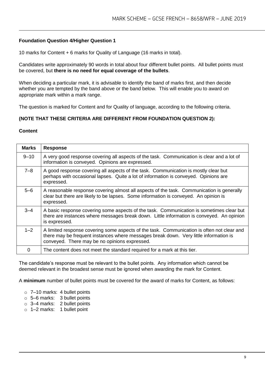# **Foundation Question 4/Higher Question 1**

10 marks for Content + 6 marks for Quality of Language (16 marks in total).

Candidates write approximately 90 words in total about four different bullet points. All bullet points must be covered, but **there is no need for equal coverage of the bullets**.

When deciding a particular mark, it is advisable to identify the band of marks first, and then decide whether you are tempted by the band above or the band below. This will enable you to award on appropriate mark within a mark range.

The question is marked for Content and for Quality of language, according to the following criteria.

#### **(NOTE THAT THESE CRITERIA ARE DIFFERENT FROM FOUNDATION QUESTION 2):**

#### **Content**

| <b>Marks</b> | <b>Response</b>                                                                                                                                                                                                                      |
|--------------|--------------------------------------------------------------------------------------------------------------------------------------------------------------------------------------------------------------------------------------|
| $9 - 10$     | A very good response covering all aspects of the task. Communication is clear and a lot of<br>information is conveyed. Opinions are expressed.                                                                                       |
| $7 - 8$      | A good response covering all aspects of the task. Communication is mostly clear but<br>perhaps with occasional lapses. Quite a lot of information is conveyed. Opinions are<br>expressed.                                            |
| $5 - 6$      | A reasonable response covering almost all aspects of the task. Communication is generally<br>clear but there are likely to be lapses. Some information is conveyed. An opinion is<br>expressed.                                      |
| $3 - 4$      | A basic response covering some aspects of the task. Communication is sometimes clear but<br>there are instances where messages break down. Little information is conveyed. An opinion<br>is expressed.                               |
| $1 - 2$      | A limited response covering some aspects of the task. Communication is often not clear and<br>there may be frequent instances where messages break down. Very little information is<br>conveyed. There may be no opinions expressed. |
| 0            | The content does not meet the standard required for a mark at this tier.                                                                                                                                                             |

The candidate's response must be relevant to the bullet points. Any information which cannot be deemed relevant in the broadest sense must be ignored when awarding the mark for Content.

A **minimum** number of bullet points must be covered for the award of marks for Content, as follows:

- o 7–10 marks: 4 bullet points
- o 5–6 marks: 3 bullet points
- o 3–4 marks: 2 bullet points
- o 1–2 marks: 1 bullet point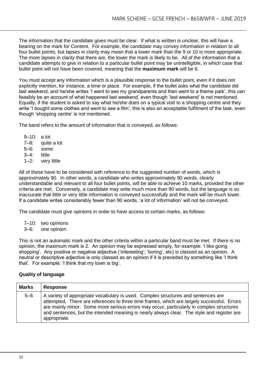The information that the candidate gives must be clear. If what is written is unclear, this will have a bearing on the mark for Content. For example, the candidate may convey information in relation to all four bullet points, but lapses in clarity may mean that a lower mark than the 9 or 10 is more appropriate. The more lapses in clarity that there are, the lower the mark is likely to be. All of the information that a candidate attempts to give in relation to a particular bullet point may be unintelligible, in which case that bullet point will not have been covered, meaning that the **maximum mark** will be 6.

You must accept any information which is a plausible response to the bullet point, even if it does not explicitly mention, for instance, a time or place. For example, if the bullet asks what the candidate did last weekend, and he/she writes 'I went to see my grandparents and then went to a theme park', this can feasibly be an account of what happened last weekend, even though 'last weekend' is not mentioned. Equally, if the student is asked to say what he/she does on a typical visit to a shopping centre and they write 'I bought some clothes and went to see a film', this is also an acceptable fulfilment of the task, even though 'shopping centre' is not mentioned.

The band refers to the amount of information that is conveyed, as follows:

- 9–10: a lot 7–8: quite a lot 5–6: some 3–4: little
- 1–2: very little

All of these have to be considered with reference to the suggested number of words, which is approximately 90. In other words, a candidate who writes approximately 90 words, clearly understandable and relevant to all four bullet points, will be able to achieve 10 marks, provided the other criteria are met. Conversely, a candidate may write much more than 90 words, but the language is so inaccurate that little or very little information is conveyed successfully and the mark will be much lower. If a candidate writes considerably fewer than 90 words, 'a lot of information' will not be conveyed.

The candidate must give opinions in order to have access to certain marks, as follows:

7–10: two opinions

3–6: one opinion

This is not an automatic mark and the other criteria within a particular band must be met. If there is no opinion, the maximum mark is 2. An opinion may be expressed simply, for example: 'I like going shopping'. Any positive or negative adjective ('interesting': 'boring', etc) is classed as an opinion. A neutral or descriptive adjective is only classed as an opinion if it is preceded by something like 'I think that'. For example: 'I think that my town is big'.

# **Quality of language**

| <b>Marks</b> | <b>Response</b>                                                                                                                                                                                                                                                                                                                                                                           |
|--------------|-------------------------------------------------------------------------------------------------------------------------------------------------------------------------------------------------------------------------------------------------------------------------------------------------------------------------------------------------------------------------------------------|
| $5-6$        | A variety of appropriate vocabulary is used. Complex structures and sentences are<br>attempted. There are references to three time frames, which are largely successful. Errors<br>are mainly minor. Some more serious errors may occur, particularly in complex structures<br>and sentences, but the intended meaning is nearly always clear. The style and register are<br>appropriate. |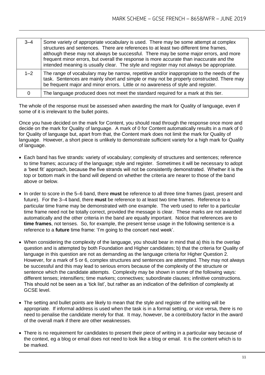| $3 - 4$ | Some variety of appropriate vocabulary is used. There may be some attempt at complex<br>structures and sentences. There are references to at least two different time frames,<br>although these may not always be successful. There may be some major errors, and more<br>frequent minor errors, but overall the response is more accurate than inaccurate and the<br>intended meaning is usually clear. The style and register may not always be appropriate. |
|---------|----------------------------------------------------------------------------------------------------------------------------------------------------------------------------------------------------------------------------------------------------------------------------------------------------------------------------------------------------------------------------------------------------------------------------------------------------------------|
| $1 - 2$ | The range of vocabulary may be narrow, repetitive and/or inappropriate to the needs of the<br>task. Sentences are mainly short and simple or may not be properly constructed. There may<br>be frequent major and minor errors. Little or no awareness of style and register.                                                                                                                                                                                   |
|         | The language produced does not meet the standard required for a mark at this tier.                                                                                                                                                                                                                                                                                                                                                                             |

The whole of the response must be assessed when awarding the mark for Quality of language, even if some of it is irrelevant to the bullet points.

Once you have decided on the mark for Content, you should read through the response once more and decide on the mark for Quality of language. A mark of 0 for Content automatically results in a mark of 0 for Quality of language but, apart from that, the Content mark does not limit the mark for Quality of language. However, a short piece is unlikely to demonstrate sufficient variety for a high mark for Quality of language.

- Each band has five strands: variety of vocabulary; complexity of structures and sentences; reference to time frames; accuracy of the language; style and register. Sometimes it will be necessary to adopt a 'best fit' approach, because the five strands will not be consistently demonstrated. Whether it is the top or bottom mark in the band will depend on whether the criteria are nearer to those of the band above or below.
- In order to score in the 5–6 band, there **must** be reference to all three time frames (past, present and future). For the 3–4 band, there **must** be reference to at least two time frames. Reference to a particular time frame may be demonstrated with one example. The verb used to refer to a particular time frame need not be totally correct, provided the message is clear. These marks are not awarded automatically and the other criteria in the band are equally important. Notice that references are to **time frames**, not tenses. So, for example, the present tense usage in the following sentence is a reference to a **future** time frame: 'I'm going to the concert next week'.
- When considering the complexity of the language, you should bear in mind that a) this is the overlap question and is attempted by both Foundation and Higher candidates; b) that the criteria for Quality of language in this question are not as demanding as the language criteria for Higher Question 2. However, for a mark of 5 or 6, complex structures and sentences are attempted. They may not always be successful and this may lead to serious errors because of the complexity of the structure or sentence which the candidate attempts. Complexity may be shown in some of the following ways: different tenses; intensifiers; time markers; connectives; subordinate clauses; infinitive constructions. This should not be seen as a 'tick list', but rather as an indication of the definition of complexity at GCSE level.
- The setting and bullet points are likely to mean that the style and register of the writing will be appropriate. If informal address is used when the task is in a formal setting, or vice versa, there is no need to penalise the candidate merely for that. It may, however, be a contributory factor in the award of the overall mark if there are other weaknesses.
- There is no requirement for candidates to present their piece of writing in a particular way because of the context, eg a blog or email does not need to look like a blog or email. It is the content which is to be marked.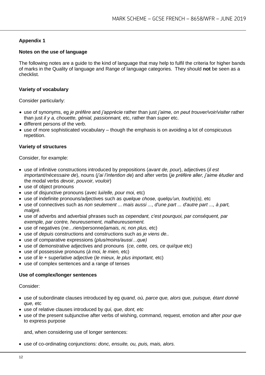# **Appendix 1**

#### **Notes on the use of language**

The following notes are a guide to the kind of language that may help to fulfil the criteria for higher bands of marks in the Quality of language and Range of language categories. They should **not** be seen as a checklist.

#### **Variety of vocabulary**

Consider particularly:

- use of synonyms, eg *je préfère* and *j'apprécie* rather than just *j'aime, on peut trouver/voir/visiter* rather than just *il y a, chouette, génial, passionnant,* etc, rather than *super* etc.
- different persons of the verb.
- use of more sophisticated vocabulary though the emphasis is on avoiding a lot of conspicuous repetition.

#### **Variety of structures**

Consider, for example:

- use of infinitive constructions introduced by prepositions (*avant de, pour*), adjectives (*il est important/nécessaire de*), nouns (*j'ai l'intention de*) and after verbs (*je préfère aller, j'aime étudier* and the modal verbs *devoir, pouvoir, vouloir*)
- use of object pronouns
- use of disjunctive pronouns (*avec lui/elle, pour moi,* etc)
- use of indefinite pronouns/adjectives such as *quelque chose, quelqu'un, tout(e)(s),* etc
- use of connectives such as *non seulement ... mais aussi ..., d'une part ... d'autre part ..., à part, malgré.*
- use of adverbs and adverbial phrases such as *cependant, c'est pourquoi, par conséquent, par exemple, par contre, heureusement, malheureusement.*
- use of negatives (*ne*…*rien/personne/jamais, ni, non plus,* etc)
- use of *depuis* constructions and constructions such as *je viens de..*
- use of comparative expressions (*plus/moins/aussi…que)*
- use of demonstrative adjectives and pronouns (*ce, cette, ces, ce qui/que* etc)
- use of possessive pronouns (*à moi, le mien,* etc)
- use of *le* + superlative adjective (*le mieux, le plus important,* etc)
- use of complex sentences and a range of tenses

#### **Use of complex/longer sentences**

Consider:

- use of subordinate clauses introduced by eg *quand, où, parce que, alors que, puisque, étant donné que,* etc
- use of relative clauses introduced by *qui, que, dont, etc*
- use of the present subjunctive after verbs of wishing, command, request, emotion and after *pour que*  to express purpose

and, when considering use of longer sentences:

use of co-ordinating conjunctions: *donc, ensuite, ou, puis, mais, alors.*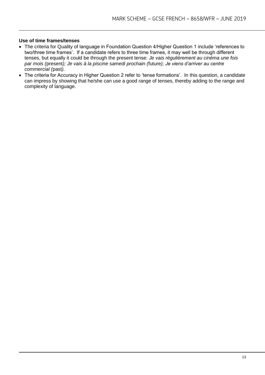#### **Use of time frames/tenses**

- The criteria for Quality of language in Foundation Question 4/Higher Question 1 include 'references to two/three time frames'. If a candidate refers to three time frames, it may well be through different tenses, but equally it could be through the present tense: *Je vais régulièrement au cinéma une fois par mois (*present*); Je vais à la piscine samedi prochain (*future*); Je viens d'arriver au centre commercial (*past*).*
- The criteria for Accuracy in Higher Question 2 refer to 'tense formations'. In this question, a candidate can impress by showing that he/she can use a good range of tenses, thereby adding to the range and complexity of language.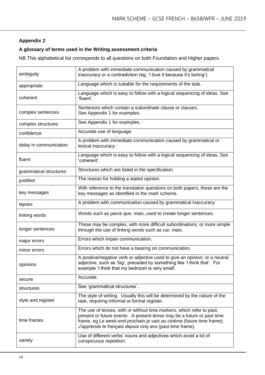# **Appendix 2**

# **A glossary of terms used in the Writing assessment criteria**

NB This alphabetical list corresponds to all questions on both Foundation and Higher papers.

| ambiguity              | A problem with immediate communication caused by grammatical<br>inaccuracy or a contradiction (eg, 'I love it because it's boring').                                                                                                                                                  |  |  |
|------------------------|---------------------------------------------------------------------------------------------------------------------------------------------------------------------------------------------------------------------------------------------------------------------------------------|--|--|
| appropriate            | Language which is suitable for the requirements of the task.                                                                                                                                                                                                                          |  |  |
| coherent               | Language which is easy to follow with a logical sequencing of ideas. See<br>'fluent'.                                                                                                                                                                                                 |  |  |
| complex sentences      | Sentences which contain a subordinate clause or clauses.<br>See Appendix 1 for examples.                                                                                                                                                                                              |  |  |
| complex structures     | See Appendix 1 for examples.                                                                                                                                                                                                                                                          |  |  |
| confidence             | Accurate use of language.                                                                                                                                                                                                                                                             |  |  |
| delay in communication | A problem with immediate communication caused by grammatical or<br>lexical inaccuracy.                                                                                                                                                                                                |  |  |
| fluent                 | Language which is easy to follow with a logical sequencing of ideas. See<br>'coherent'.                                                                                                                                                                                               |  |  |
| grammatical structures | Structures which are listed in the specification.                                                                                                                                                                                                                                     |  |  |
| justified              | The reason for holding a stated opinion.                                                                                                                                                                                                                                              |  |  |
| key messages           | With reference to the translation questions on both papers, these are the<br>key messages as identified in the mark scheme.                                                                                                                                                           |  |  |
| lapses                 | A problem with communication caused by grammatical inaccuracy                                                                                                                                                                                                                         |  |  |
| linking words          | Words such as parce que, mais, used to create longer sentences.                                                                                                                                                                                                                       |  |  |
| longer sentences       | These may be complex, with more difficult subordinations, or more simple<br>through the use of linking words such as car, mais.                                                                                                                                                       |  |  |
| major errors           | Errors which impair communication.                                                                                                                                                                                                                                                    |  |  |
| minor errors           | Errors which do not have a bearing on communication.                                                                                                                                                                                                                                  |  |  |
| opinions               | A positive/negative verb or adjective used to give an opinion; or a neutral<br>adjective, such as 'big', preceded by something like 'I think that'. For<br>example 'I think that my bedroom is very small'.                                                                           |  |  |
| secure                 | Accurate.                                                                                                                                                                                                                                                                             |  |  |
| structures             | See 'grammatical structures'.                                                                                                                                                                                                                                                         |  |  |
| style and register     | The style of writing. Usually this will be determined by the nature of the<br>task, requiring informal or formal register.                                                                                                                                                            |  |  |
| time frames            | The use of tenses, with or without time markers, which refer to past,<br>present or future events. A present tense may be a future or past time<br>frame, eg Le week-end prochain je vais au cinéma (future time frame);<br>J'apprends le français depuis cinq ans (past time frame). |  |  |
| variety                | Use of different verbs' nouns and adjectives which avoid a lot of<br>conspicuous repetition.                                                                                                                                                                                          |  |  |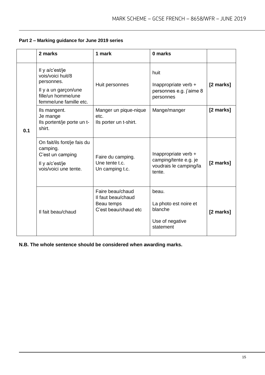|     | 2 marks                                                                                                                    | 1 mark                                                                       | 0 marks                                                                           |           |
|-----|----------------------------------------------------------------------------------------------------------------------------|------------------------------------------------------------------------------|-----------------------------------------------------------------------------------|-----------|
| 0.1 | Il y a/c'est/je<br>vois/voici huit/8<br>personnes.<br>Il y a un garçon/une<br>fille/un homme/une<br>femme/une famille etc. | Huit personnes                                                               | huit<br>Inappropriate verb +<br>personnes e.g. j'aime 8<br>personnes              | [2 marks] |
|     | Ils mangent.<br>Je mange<br>Ils portent/je porte un t-<br>shirt.                                                           | Manger un pique-nique<br>etc.<br>Ils porter un t-shirt.                      | Mange/manger                                                                      | [2 marks] |
|     | On fait/ils font/je fais du<br>camping.<br>C'est un camping<br>Il y a/c'est/je<br>vois/voici une tente.                    | Faire du camping.<br>Une tente t.c.<br>Un camping t.c.                       | Inappropriate verb +<br>camping/tente e.g. je<br>voudrais le camping/la<br>tente. | [2 marks] |
|     | Il fait beau/chaud                                                                                                         | Faire beau/chaud<br>Il faut beau/chaud<br>Beau temps<br>C'est beau/chaud etc | beau.<br>La photo est noire et<br>blanche<br>Use of negative<br>statement         | [2 marks] |

# **Part 2 – Marking guidance for June 2019 series**

**N.B. The whole sentence should be considered when awarding marks.**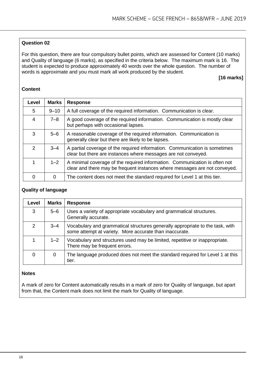# **Question 02**

For this question, there are four compulsory bullet points, which are assessed for Content (10 marks) and Quality of language (6 marks), as specified in the criteria below. The maximum mark is 16. The student is expected to produce approximately 40 words over the whole question. The number of words is approximate and you must mark all work produced by the student.

# **[16 marks]**

#### **Content**

| Level          | <b>Marks</b> | <b>Response</b>                                                                                                                                          |
|----------------|--------------|----------------------------------------------------------------------------------------------------------------------------------------------------------|
| 5              | $9 - 10$     | A full coverage of the required information. Communication is clear.                                                                                     |
| $\overline{4}$ | $7 - 8$      | A good coverage of the required information. Communication is mostly clear<br>but perhaps with occasional lapses.                                        |
| 3              | $5 - 6$      | A reasonable coverage of the required information. Communication is<br>generally clear but there are likely to be lapses.                                |
| 2              | $3 - 4$      | A partial coverage of the required information. Communication is sometimes<br>clear but there are instances where messages are not conveyed.             |
|                | $1 - 2$      | A minimal coverage of the required information. Communication is often not<br>clear and there may be frequent instances where messages are not conveyed. |
| 0              | 0            | The content does not meet the standard required for Level 1 at this tier.                                                                                |

#### **Quality of language**

| Level | <b>Marks</b> | <b>Response</b>                                                                                                                          |
|-------|--------------|------------------------------------------------------------------------------------------------------------------------------------------|
| 3     | $5 - 6$      | Uses a variety of appropriate vocabulary and grammatical structures.<br>Generally accurate.                                              |
| 2     | $3 - 4$      | Vocabulary and grammatical structures generally appropriate to the task, with<br>some attempt at variety. More accurate than inaccurate. |
|       | $1 - 2$      | Vocabulary and structures used may be limited, repetitive or inappropriate.<br>There may be frequent errors.                             |
| 0     | 0            | The language produced does not meet the standard required for Level 1 at this<br>tier.                                                   |

#### **Notes**

A mark of zero for Content automatically results in a mark of zero for Quality of language, but apart from that, the Content mark does not limit the mark for Quality of language.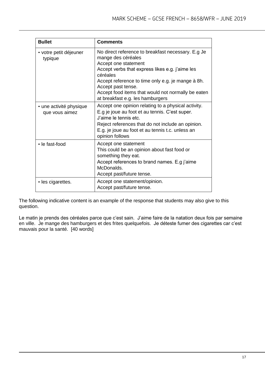| <b>Bullet</b>                             | <b>Comments</b>                                                                                                                                                                                                                                                                                                                      |
|-------------------------------------------|--------------------------------------------------------------------------------------------------------------------------------------------------------------------------------------------------------------------------------------------------------------------------------------------------------------------------------------|
| • votre petit déjeuner<br>typique         | No direct reference to breakfast necessary. E.g Je<br>mange des céréales<br>Accept one statement<br>Accept verbs that express likes e.g. j'aime les<br>céréales<br>Accept reference to time only e.g. je mange à 8h.<br>Accept past tense.<br>Accept food items that would not normally be eaten<br>at breakfast e.g. les hamburgers |
| · une activité physique<br>que vous aimez | Accept one opinion relating to a physical activity.<br>E.g je joue au foot et au tennis. C'est super.<br>J'aime le tennis etc.<br>Reject references that do not include an opinion.<br>E.g. je joue au foot et au tennis t.c. unless an<br>opinion follows                                                                           |
| • le fast-food                            | Accept one statement<br>This could be an opinion about fast food or<br>something they eat.<br>Accept references to brand names. E.g j'aime<br>McDonalds.<br>Accept past/future tense.                                                                                                                                                |
| • les cigarettes.                         | Accept one statement/opinion.<br>Accept past/future tense.                                                                                                                                                                                                                                                                           |

The following indicative content is an example of the response that students may also give to this question.

Le matin je prends des céréales parce que c'est sain. J'aime faire de la natation deux fois par semaine en ville. Je mange des hamburgers et des frites quelquefois. Je déteste fumer des cigarettes car c'est mauvais pour la santé. [40 words]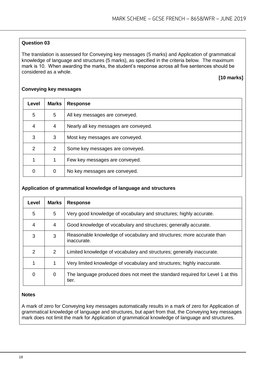# **Question 03**

The translation is assessed for Conveying key messages (5 marks) and Application of grammatical knowledge of language and structures (5 marks), as specified in the criteria below. The maximum mark is 10. When awarding the marks, the student's response across all five sentences should be considered as a whole.

# **[10 marks]**

| Level         | <b>Marks</b> | <b>Response</b>                       |
|---------------|--------------|---------------------------------------|
| 5             | 5            | All key messages are conveyed.        |
| 4             | 4            | Nearly all key messages are conveyed. |
| 3             | 3            | Most key messages are conveyed.       |
| $\mathcal{P}$ | 2            | Some key messages are conveyed.       |
|               |              | Few key messages are conveyed.        |
| 0             | 0            | No key messages are conveyed.         |

#### **Conveying key messages**

#### **Application of grammatical knowledge of language and structures**

| Level | <b>Marks</b> | <b>Response</b>                                                                        |
|-------|--------------|----------------------------------------------------------------------------------------|
| 5     | 5            | Very good knowledge of vocabulary and structures; highly accurate.                     |
| 4     | 4            | Good knowledge of vocabulary and structures; generally accurate.                       |
| 3     | 3            | Reasonable knowledge of vocabulary and structures; more accurate than<br>inaccurate.   |
| 2     | 2            | Limited knowledge of vocabulary and structures; generally inaccurate.                  |
|       | 1            | Very limited knowledge of vocabulary and structures; highly inaccurate.                |
| 0     | $\Omega$     | The language produced does not meet the standard required for Level 1 at this<br>tier. |

# **Notes**

A mark of zero for Conveying key messages automatically results in a mark of zero for Application of grammatical knowledge of language and structures, but apart from that, the Conveying key messages mark does not limit the mark for Application of grammatical knowledge of language and structures.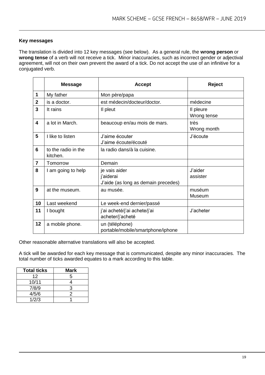# **Key messages**

The translation is divided into 12 key messages (see below). As a general rule, the **wrong person** or **wrong tense** of a verb will not receive a tick. Minor inaccuracies, such as incorrect gender or adjectival agreement, will not on their own prevent the award of a tick. Do not accept the use of an infinitive for a conjugated verb.

|                | <b>Message</b>                  | <b>Accept</b>                                                     | Reject                   |
|----------------|---------------------------------|-------------------------------------------------------------------|--------------------------|
| 1              | My father                       | Mon père/papa                                                     |                          |
| $\mathbf{2}$   | is a doctor.                    | est médecin/docteur/doctor.                                       | médecine                 |
| 3              | It rains                        | Il pleut                                                          | Il pleure<br>Wrong tense |
| 4              | a lot in March.                 | beaucoup en/au mois de mars.                                      | très<br>Wrong month      |
| 5              | I like to listen                | J'aime écouter<br>J'aime écoute/écouté                            | J'écoute                 |
| 6              | to the radio in the<br>kitchen. | la radio dans/à la cuisine.                                       |                          |
| $\overline{7}$ | Tomorrow                        | Demain                                                            |                          |
| 8              | I am going to help              | je vais aider<br>j'aiderai<br>J'aide (as long as demain precedes) | J'aider<br>assister      |
| 9              | at the museum.                  | au musée.                                                         | muséum<br>Museum         |
| 10             | Last weekend                    | Le week-end dernier/passé                                         |                          |
| 11             | I bought                        | j'ai acheté/j'ai achete/j'ai<br>acheter/j'acheté                  | J'acheter                |
| 12             | a mobile phone.                 | un (téléphone)<br>portable/mobile/smartphone/iphone               |                          |

Other reasonable alternative translations will also be accepted.

A tick will be awarded for each key message that is communicated, despite any minor inaccuracies. The total number of ticks awarded equates to a mark according to this table.

| <b>Total ticks</b> | Mark |
|--------------------|------|
| 12                 | 5    |
| 10/11              |      |
| 7/8/9              | з    |
| 4/5/6              | 2    |
| 1/2/3              |      |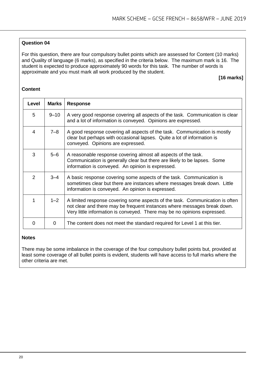# **Question 04**

For this question, there are four compulsory bullet points which are assessed for Content (10 marks) and Quality of language (6 marks), as specified in the criteria below. The maximum mark is 16. The student is expected to produce approximately 90 words for this task. The number of words is approximate and you must mark all work produced by the student.

# **[16 marks]**

#### **Content**

| Level | <b>Marks</b> | <b>Response</b>                                                                                                                                                                                                                      |
|-------|--------------|--------------------------------------------------------------------------------------------------------------------------------------------------------------------------------------------------------------------------------------|
| 5     | $9 - 10$     | A very good response covering all aspects of the task. Communication is clear<br>and a lot of information is conveyed. Opinions are expressed.                                                                                       |
| 4     | $7 - 8$      | A good response covering all aspects of the task. Communication is mostly<br>clear but perhaps with occasional lapses. Quite a lot of information is<br>conveyed. Opinions are expressed.                                            |
| 3     | $5-6$        | A reasonable response covering almost all aspects of the task.<br>Communication is generally clear but there are likely to be lapses. Some<br>information is conveyed. An opinion is expressed.                                      |
| 2     | $3 - 4$      | A basic response covering some aspects of the task. Communication is<br>sometimes clear but there are instances where messages break down. Little<br>information is conveyed. An opinion is expressed.                               |
| 1     | $1 - 2$      | A limited response covering some aspects of the task. Communication is often<br>not clear and there may be frequent instances where messages break down.<br>Very little information is conveyed. There may be no opinions expressed. |
| 0     | 0            | The content does not meet the standard required for Level 1 at this tier.                                                                                                                                                            |

#### **Notes**

There may be some imbalance in the coverage of the four compulsory bullet points but, provided at least some coverage of all bullet points is evident, students will have access to full marks where the other criteria are met.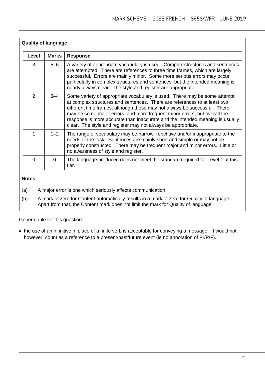| <b>Quality of language</b> |              |                                                                                                                                                                                                                                                                                                                                                                                                                                                                   |
|----------------------------|--------------|-------------------------------------------------------------------------------------------------------------------------------------------------------------------------------------------------------------------------------------------------------------------------------------------------------------------------------------------------------------------------------------------------------------------------------------------------------------------|
| Level                      | <b>Marks</b> | <b>Response</b>                                                                                                                                                                                                                                                                                                                                                                                                                                                   |
| 3                          | $5-6$        | A variety of appropriate vocabulary is used. Complex structures and sentences<br>are attempted. There are references to three time frames, which are largely<br>successful. Errors are mainly minor. Some more serious errors may occur,<br>particularly in complex structures and sentences, but the intended meaning is<br>nearly always clear. The style and register are appropriate.                                                                         |
| $\mathcal{P}$              | $3 - 4$      | Some variety of appropriate vocabulary is used. There may be some attempt<br>at complex structures and sentences. There are references to at least two<br>different time frames, although these may not always be successful. There<br>may be some major errors, and more frequent minor errors, but overall the<br>response is more accurate than inaccurate and the intended meaning is usually<br>clear. The style and register may not always be appropriate. |
| 1                          | $1 - 2$      | The range of vocabulary may be narrow, repetitive and/or inappropriate to the<br>needs of the task. Sentences are mainly short and simple or may not be<br>properly constructed. There may be frequent major and minor errors. Little or<br>no awareness of style and register.                                                                                                                                                                                   |
| $\Omega$                   | $\Omega$     | The language produced does not meet the standard required for Level 1 at this<br>tier.                                                                                                                                                                                                                                                                                                                                                                            |

# **Notes**

- (a) A major error is one which seriously affects communication.
- (b) A mark of zero for Content automatically results in a mark of zero for Quality of language. Apart from that, the Content mark does not limit the mark for Quality of language.

General rule for this question:

• the use of an infinitive in place of a finite verb is acceptable for conveying a message. It would not, however, count as a reference to a present/past/future event (ie no annotation of Pr/P/F).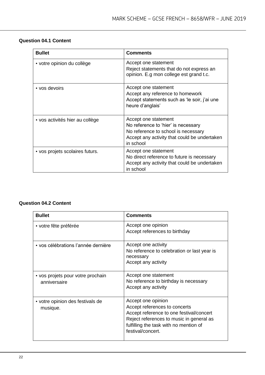| <b>Bullet</b>                   | <b>Comments</b>                                                                                                                                                 |
|---------------------------------|-----------------------------------------------------------------------------------------------------------------------------------------------------------------|
| • votre opinion du collège      | Accept one statement<br>Reject statements that do not express an<br>opinion. E.g mon college est grand t.c.                                                     |
| • vos devoirs                   | Accept one statement<br>Accept any reference to homework<br>Accept statements such as 'le soir, j'ai une<br>heure d'anglais'                                    |
| • vos activités hier au collège | Accept one statement<br>No reference to 'hier' is necessary<br>No reference to school is necessary<br>Accept any activity that could be undertaken<br>in school |
| • vos projets scolaires futurs. | Accept one statement<br>No direct reference to future is necessary<br>Accept any activity that could be undertaken<br>in school                                 |

# **Question 04.2 Content**

| <b>Bullet</b>                                     | <b>Comments</b>                                                                                                                                                                                            |
|---------------------------------------------------|------------------------------------------------------------------------------------------------------------------------------------------------------------------------------------------------------------|
| • votre fête préférée                             | Accept one opinion<br>Accept references to birthday                                                                                                                                                        |
| • vos célébrations l'année dernière               | Accept one activity<br>No reference to celebration or last year is<br>necessary<br>Accept any activity                                                                                                     |
| • vos projets pour votre prochain<br>anniversaire | Accept one statement<br>No reference to birthday is necessary<br>Accept any activity                                                                                                                       |
| • votre opinion des festivals de<br>musique.      | Accept one opinion<br>Accept references to concerts<br>Accept reference to one festival/concert<br>Reject references to music in general as<br>fulfilling the task with no mention of<br>festival/concert. |